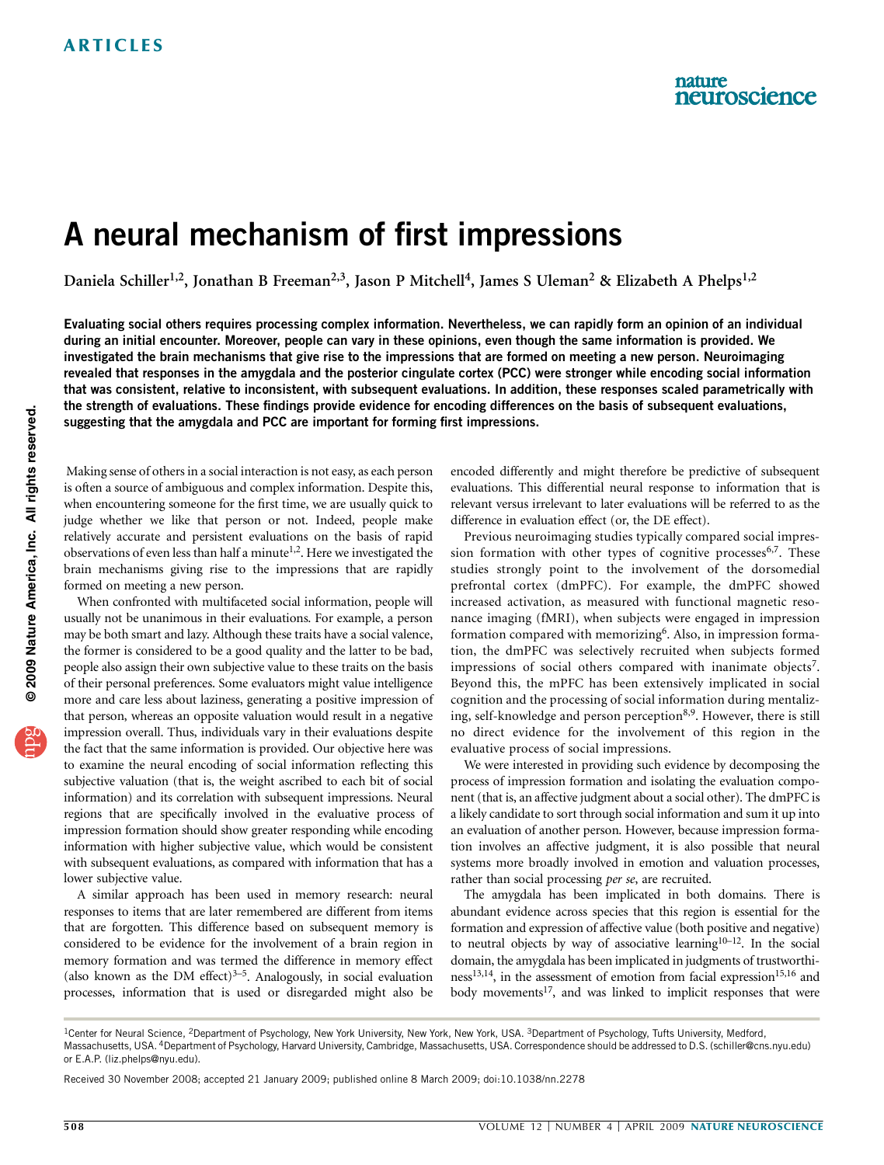# A neural mechanism of first impressions

Daniela Schiller<sup>1,2</sup>, Jonathan B Freeman<sup>2,3</sup>, Jason P Mitchell<sup>4</sup>, James S Uleman<sup>2</sup> & Elizabeth A Phelps<sup>1,2</sup>

Evaluating social others requires processing complex information. Nevertheless, we can rapidly form an opinion of an individual during an initial encounter. Moreover, people can vary in these opinions, even though the same information is provided. We investigated the brain mechanisms that give rise to the impressions that are formed on meeting a new person. Neuroimaging revealed that responses in the amygdala and the posterior cingulate cortex (PCC) were stronger while encoding social information that was consistent, relative to inconsistent, with subsequent evaluations. In addition, these responses scaled parametrically with the strength of evaluations. These findings provide evidence for encoding differences on the basis of subsequent evaluations, suggesting that the amygdala and PCC are important for forming first impressions.

Making sense of others in a social interaction is not easy, as each person is often a source of ambiguous and complex information. Despite this, when encountering someone for the first time, we are usually quick to judge whether we like that person or not. Indeed, people make relatively accurate and persistent evaluat[ion](#page-6-0)s on the basis of rapid observations of even less than half a minute<sup>1,2</sup>. Here we investigated the brain mechanisms giving rise to the impressions that are rapidly formed on meeting a new person.

When confronted with multifaceted social information, people will usually not be unanimous in their evaluations. For example, a person may be both smart and lazy. Although these traits have a social valence, the former is considered to be a good quality and the latter to be bad, people also assign their own subjective value to these traits on the basis of their personal preferences. Some evaluators might value intelligence more and care less about laziness, generating a positive impression of that person, whereas an opposite valuation would result in a negative impression overall. Thus, individuals vary in their evaluations despite the fact that the same information is provided. Our objective here was to examine the neural encoding of social information reflecting this subjective valuation (that is, the weight ascribed to each bit of social information) and its correlation with subsequent impressions. Neural regions that are specifically involved in the evaluative process of impression formation should show greater responding while encoding information with higher subjective value, which would be consistent with subsequent evaluations, as compared with information that has a lower subjective value.

A similar approach has been used in memory research: neural responses to items that are later remembered are different from items that are forgotten. This difference based on subsequent memory is considered to be evidence for the involvement of a brain region in memory formation and was te[rme](#page-6-0)d the difference in memory effect (also known as the DM effect) $3-5$ . Analogously, in social evaluation processes, information that is used or disregarded might also be

encoded differently and might therefore be predictive of subsequent evaluations. This differential neural response to information that is relevant versus irrelevant to later evaluations will be referred to as the difference in evaluation effect (or, the DE effect).

Previous neuroimaging studies typically compared soci[al i](#page-6-0)mpression formation with other types of cognitive processes $6,7$ . These studies strongly point to the involvement of the dorsomedial prefrontal cortex (dmPFC). For example, the dmPFC showed increased activation, as measured with functional magnetic resonance imaging (fMRI), when subjects [w](#page-6-0)ere engaged in impression formation compared with memorizing<sup>6</sup>. Also, in impression formation, the dmPFC was selectively recruited when subjects form[ed](#page-6-0) impressions of social others compared with inanimate objects<sup>7</sup>. Beyond this, the mPFC has been extensively implicated in social cognition and the processing of social info[rm](#page-6-0)ation during mentalizing, self-knowledge and person perception<sup>8,9</sup>. However, there is still no direct evidence for the involvement of this region in the evaluative process of social impressions.

We were interested in providing such evidence by decomposing the process of impression formation and isolating the evaluation component (that is, an affective judgment about a social other). The dmPFC is a likely candidate to sort through social information and sum it up into an evaluation of another person. However, because impression formation involves an affective judgment, it is also possible that neural systems more broadly involved in emotion and valuation processes, rather than social processing per se, are recruited.

The amygdala has been implicated in both domains. There is abundant evidence across species that this region is essential for the formation and expression of affective value (both p[ositiv](#page-6-0)e and negative) to neutral objects by way of associative learning<sup>10-12</sup>. In the social do[main,](#page-6-0) the amygdala has been implicated in judgments of tru[stwor](#page-6-0)thi $ness<sup>13,14</sup>$ , in the a[sse](#page-6-0)ssment of emotion from facial expression<sup>15,16</sup> and body movements<sup>17</sup>, and was linked to implicit responses that were

<sup>&</sup>lt;sup>1</sup>Center for Neural Science, <sup>2</sup>Department of Psychology, New York University, New York, New York, USA. <sup>3</sup>Department of Psychology, Tufts Universi[ty, Medford,](mailto:schiller@cns.nyu.edu) Massachu[setts, USA.](mailto:liz.phelps@nyu.edu) <sup>4</sup>Department of Psychology, Harvard University, Cambridge, Massachusetts, USA. Correspondence should be addressed to D.S. (schiller@cns.nyu.edu) or E.A.P. (liz.phelps@nyu.edu).

Received 30 November 2008; accepted 21 January 2009; published online 8 March 2009; doi:10.1038/nn.2278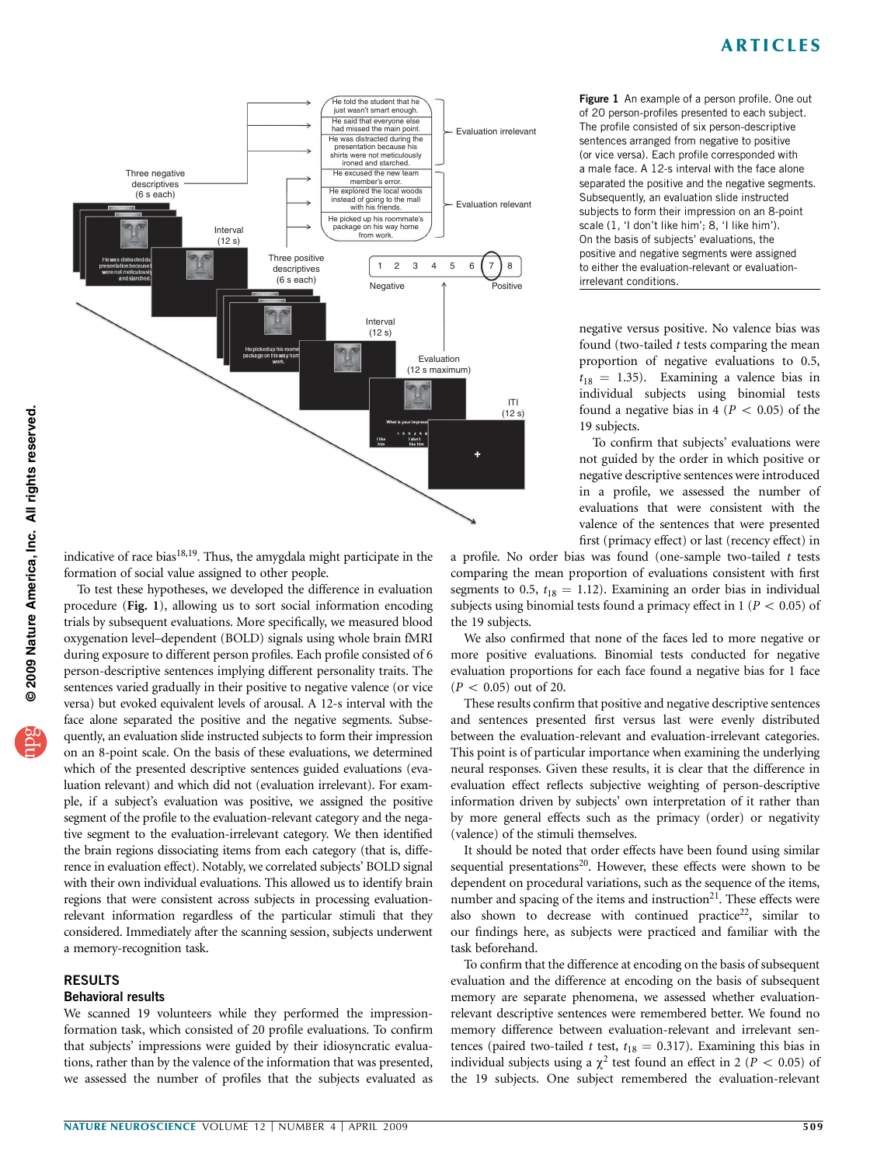## ARTICLES



indicative of race bias<sup>18,19</sup>. Thus, the amygdala might participate in the formation of social value assigned to other people.

To test these hypotheses, we developed the difference in evaluation procedure (Fig. 1), allowing us to sort social information encoding trials by subsequent evaluations. More specifically, we measured blood oxygenation level–dependent (BOLD) signals using whole brain fMRI during exposure to different person profiles. Each profile consisted of 6 person-descriptive sentences implying different personality traits. The sentences varied gradually in their positive to negative valence (or vice versa) but evoked equivalent levels of arousal. A 12-s interval with the face alone separated the positive and the negative segments. Subsequently, an evaluation slide instructed subjects to form their impression on an 8-point scale. On the basis of these evaluations, we determined which of the presented descriptive sentences guided evaluations (evaluation relevant) and which did not (evaluation irrelevant). For example, if a subject's evaluation was positive, we assigned the positive segment of the profile to the evaluation-relevant category and the negative segment to the evaluation-irrelevant category. We then identified the brain regions dissociating items from each category (that is, difference in evaluation effect). Notably, we correlated subjects' BOLD signal with their own individual evaluations. This allowed us to identify brain regions that were consistent across subjects in processing evaluationrelevant information regardless of the particular stimuli that they considered. Immediately after the scanning session, subjects underwent a memory-recognition task.

#### RESULTS

#### Behavioral results

We scanned 19 volunteers while they performed the impressionformation task, which consisted of 20 profile evaluations. To confirm that subjects' impressions were guided by their idiosyncratic evaluations, rather than by the valence of the information that was presented, we assessed the number of profiles that the subjects evaluated as Figure 1 An example of a person profile. One out of 20 person-profiles presented to each subject. The profile consisted of six person-descriptive sentences arranged from negative to positive (or vice versa). Each profile corresponded with a male face. A 12-s interval with the face alone separated the positive and the negative segments. Subsequently, an evaluation slide instructed subjects to form their impression on an 8-point scale (1, 'I don't like him'; 8, 'I like him'). On the basis of subjects' evaluations, the positive and negative segments were assigned to either the evaluation-relevant or evaluationirrelevant conditions.

negative versus positive. No valence bias was found (two-tailed  $t$  tests comparing the mean proportion of negative evaluations to 0.5,  $t_{18} = 1.35$ ). Examining a valence bias in individual subjects using binomial tests found a negative bias in  $4 (P < 0.05)$  of the 19 subjects.

To confirm that subjects' evaluations were not guided by the order in which positive or negative descriptive sentences were introduced in a profile, we assessed the number of evaluations that were consistent with the valence of the sentences that were presented first (primacy effect) or last (recency effect) in

a profile. No order bias was found (one-sample two-tailed  $t$  tests comparing the mean proportion of evaluations consistent with first segments to 0.5,  $t_{18} = 1.12$ ). Examining an order bias in individual subjects using binomial tests found a primacy effect in 1 ( $P < 0.05$ ) of the 19 subjects.

We also confirmed that none of the faces led to more negative or more positive evaluations. Binomial tests conducted for negative evaluation proportions for each face found a negative bias for 1 face  $(P < 0.05)$  out of 20.

These results confirm that positive and negative descriptive sentences and sentences presented first versus last were evenly distributed between the evaluation-relevant and evaluation-irrelevant categories. This point is of particular importance when examining the underlying neural responses. Given these results, it is clear that the difference in evaluation effect reflects subjective weighting of person-descriptive information driven by subjects' own interpretation of it rather than by more general effects such as the primacy (order) or negativity (valence) of the stimuli themselves.

It should be noted th[at](#page-6-0) order effects have been found using similar sequential presentations<sup>20</sup>. However, these effects were shown to be dependent on procedural variations, such as the s[eq](#page-6-0)uence of the items, number and spacing of the items and instruction<sup>21</sup>. T[hes](#page-6-0)e effects were also shown to decrease with continued practice<sup>22</sup>, similar to our findings here, as subjects were practiced and familiar with the task beforehand.

To confirm that the difference at encoding on the basis of subsequent evaluation and the difference at encoding on the basis of subsequent memory are separate phenomena, we assessed whether evaluationrelevant descriptive sentences were remembered better. We found no memory difference between evaluation-relevant and irrelevant sentences (paired two-tailed t test,  $t_{18} = 0.317$ ). Examining this bias in individual subjects using a  $\chi^2$  test found an effect in 2 (P < 0.05) of the 19 subjects. One subject remembered the evaluation-relevant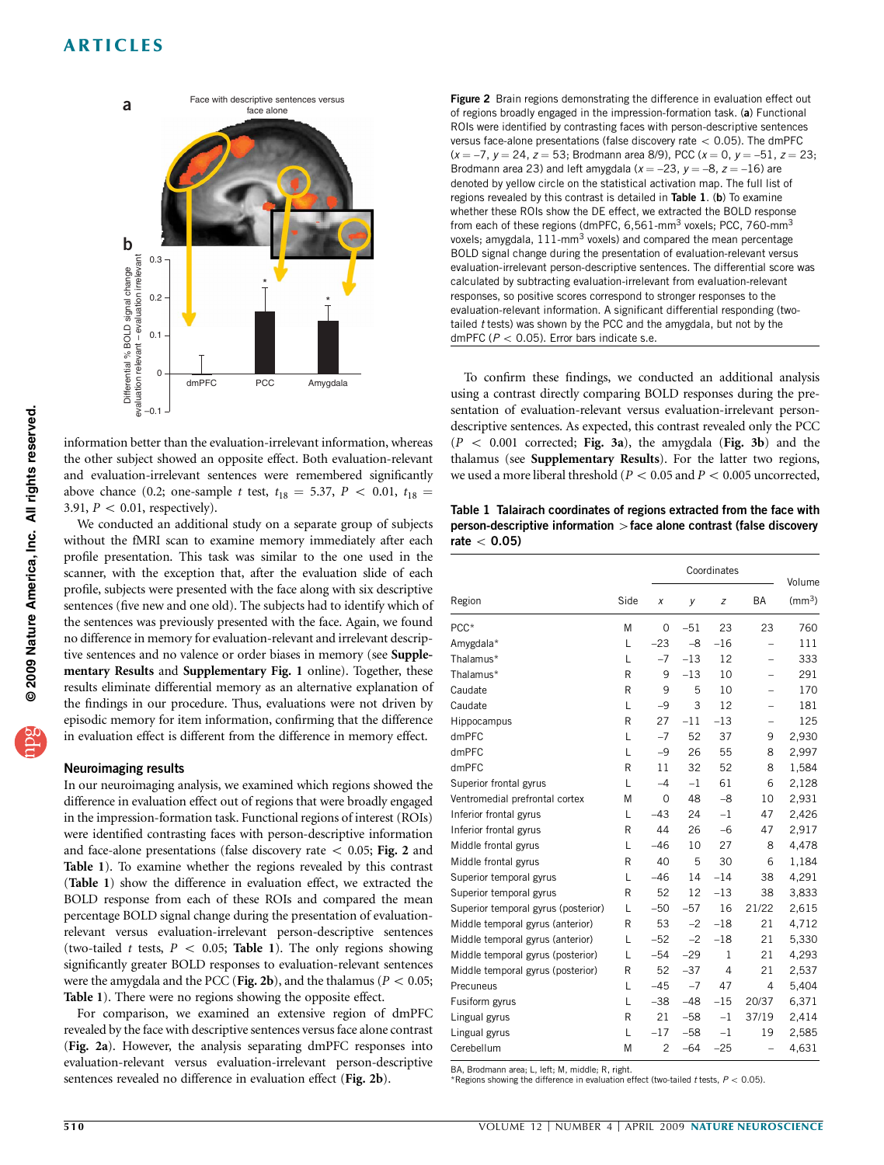## ARTICLES



information better than the evaluation-irrelevant information, whereas the other subject showed an opposite effect. Both evaluation-relevant and evaluation-irrelevant sentences were remembered significantly above chance (0.2; one-sample t test,  $t_{18} = 5.37, P < 0.01, t_{18} =$ 3.91,  $P < 0.01$ , respectively).

We conducted an additional study on a separate group of subjects without the fMRI scan to examine memory immediately after each profile presentation. This task was similar to the one used in the scanner, with the exception that, after the evaluation slide of each profile, subjects were presented with the face along with six descriptive sentences (five new and one old). The subjects had to identify which of the sentences was previously presented with the face. Again, we found no difference in memory for evaluation-relevant and irrelevant descriptive sentences and no valence or order biases in memory (see Supplementary Results and Supplementary Fig. 1 online). Together, these results eliminate differential memory as an alternative explanation of the findings in our procedure. Thus, evaluations were not driven by episodic memory for item information, confirming that the difference in evaluation effect is different from the difference in memory effect.

#### Neuroimaging results

In our neuroimaging analysis, we examined which regions showed the difference in evaluation effect out of regions that were broadly engaged in the impression-formation task. Functional regions of interest (ROIs) were identified contrasting faces with person-descriptive information and face-alone presentations (false discovery rate  $<$  0.05; Fig. 2 and Table 1). To examine whether the regions revealed by this contrast (Table 1) show the difference in evaluation effect, we extracted the BOLD response from each of these ROIs and compared the mean percentage BOLD signal change during the presentation of evaluationrelevant versus evaluation-irrelevant person-descriptive sentences (two-tailed t tests,  $P < 0.05$ ; Table 1). The only regions showing significantly greater BOLD responses to evaluation-relevant sentences were the amygdala and the PCC (Fig. 2b), and the thalamus ( $P < 0.05$ ; Table 1). There were no regions showing the opposite effect.

For comparison, we examined an extensive region of dmPFC revealed by the face with descriptive sentences versus face alone contrast (Fig. 2a). However, the analysis separating dmPFC responses into evaluation-relevant versus evaluation-irrelevant person-descriptive sentences revealed no difference in evaluation effect (Fig. 2b).

Figure 2 Brain regions demonstrating the difference in evaluation effect out of regions broadly engaged in the impression-formation task. (a) Functional ROIs were identified by contrasting faces with person-descriptive sentences versus face-alone presentations (false discovery rate  $<$  0.05). The dmPFC  $(x = -7, y = 24, z = 53;$  Brodmann area 8/9), PCC  $(x = 0, y = -51, z = 23;$ Brodmann area 23) and left amygdala ( $x = -23$ ,  $y = -8$ ,  $z = -16$ ) are denoted by yellow circle on the statistical activation map. The full list of regions revealed by this contrast is detailed in Table 1. (b) To examine whether these ROIs show the DE effect, we extracted the BOLD response from each of these regions (dmPFC,  $6,561$ -mm<sup>3</sup> voxels; PCC, 760-mm<sup>3</sup> voxels; amygdala, 111-mm<sup>3</sup> voxels) and compared the mean percentage BOLD signal change during the presentation of evaluation-relevant versus evaluation-irrelevant person-descriptive sentences. The differential score was calculated by subtracting evaluation-irrelevant from evaluation-relevant responses, so positive scores correspond to stronger responses to the evaluation-relevant information. A significant differential responding (twotailed  $t$  tests) was shown by the PCC and the amygdala, but not by the dmPFC ( $P < 0.05$ ). Error bars indicate s.e.

To confirm these findings, we conducted an additional analysis using a contrast directly comparing BOLD responses during the presentation of evaluation-relevant versus evaluation-irrelevant persondescriptive sentences. As expected, this contrast revealed only the PCC  $(P < 0.001$  corrected; Fig. 3a), the amygdala (Fig. 3b) and the thalamus (see Supplementary Results). For the latter two regions, we used a more liberal threshold ( $P < 0.05$  and  $P < 0.005$  uncorrected,

Table 1 Talairach coordinates of regions extracted from the face with person-descriptive information  $>$  face alone contrast (false discovery rate  $< 0.05$ )

|                                     |      | Coordinates    |       |                |       | Volume       |
|-------------------------------------|------|----------------|-------|----------------|-------|--------------|
| Region                              | Side | Χ              | y     | Z              | BA    | $\text{m}^3$ |
| PCC*                                | M    | 0              | $-51$ | 23             | 23    | 760          |
| Amygdala*                           | L    | $-23$          | $-8$  | $-16$          |       | 111          |
| Thalamus*                           | L    | $-7$           | $-13$ | 12             | -     | 333          |
| Thalamus*                           | R    | 9              | $-13$ | 10             |       | 291          |
| Caudate                             | R    | 9              | 5     | 10             |       | 170          |
| Caudate                             | L    | $-9$           | 3     | 12             |       | 181          |
| Hippocampus                         | R    | 27             | $-11$ | $-13$          | -     | 125          |
| dmPFC                               | L    | $-7$           | 52    | 37             | 9     | 2,930        |
| dmPFC                               | L    | $-9$           | 26    | 55             | 8     | 2,997        |
| dmPFC                               | R    | 11             | 32    | 52             | 8     | 1,584        |
| Superior frontal gyrus              | L    | $-4$           | $-1$  | 61             | 6     | 2,128        |
| Ventromedial prefrontal cortex      | M    | $\Omega$       | 48    | $-8$           | 10    | 2,931        |
| Inferior frontal gyrus              | L    | $-43$          | 24    | $-1$           | 47    | 2,426        |
| Inferior frontal gyrus              | R    | 44             | 26    | $-6$           | 47    | 2,917        |
| Middle frontal gyrus                | L    | $-46$          | 10    | 27             | 8     | 4,478        |
| Middle frontal gyrus                | R    | 40             | 5     | 30             | 6     | 1,184        |
| Superior temporal gyrus             | L    | $-46$          | 14    | $-14$          | 38    | 4,291        |
| Superior temporal gyrus             | R    | 52             | 12    | $-13$          | 38    | 3,833        |
| Superior temporal gyrus (posterior) | L    | $-50$          | $-57$ | 16             | 21/22 | 2,615        |
| Middle temporal gyrus (anterior)    | R    | 53             | $-2$  | $-18$          | 21    | 4,712        |
| Middle temporal gyrus (anterior)    | L    | $-52$          | $-2$  | $-18$          | 21    | 5,330        |
| Middle temporal gyrus (posterior)   | L    | $-54$          | $-29$ | $\mathbf 1$    | 21    | 4,293        |
| Middle temporal gyrus (posterior)   | R    | 52             | $-37$ | $\overline{4}$ | 21    | 2,537        |
| Precuneus                           | L    | $-45$          | $-7$  | 47             | 4     | 5,404        |
| Fusiform gyrus                      | L    | $-38$          | $-48$ | $-15$          | 20/37 | 6,371        |
| Lingual gyrus                       | R    | 21             | $-58$ | $^{-1}$        | 37/19 | 2,414        |
| Lingual gyrus                       | L    | $-17$          | $-58$ | $^{-1}$        | 19    | 2,585        |
| Cerebellum                          | M    | $\overline{c}$ | $-64$ | $-25$          |       | 4,631        |

BA, Brodmann area; L, left; M, middle; R, right.

\*Regions showing the difference in evaluation effect (two-tailed t tests,  $P < 0.05$ ).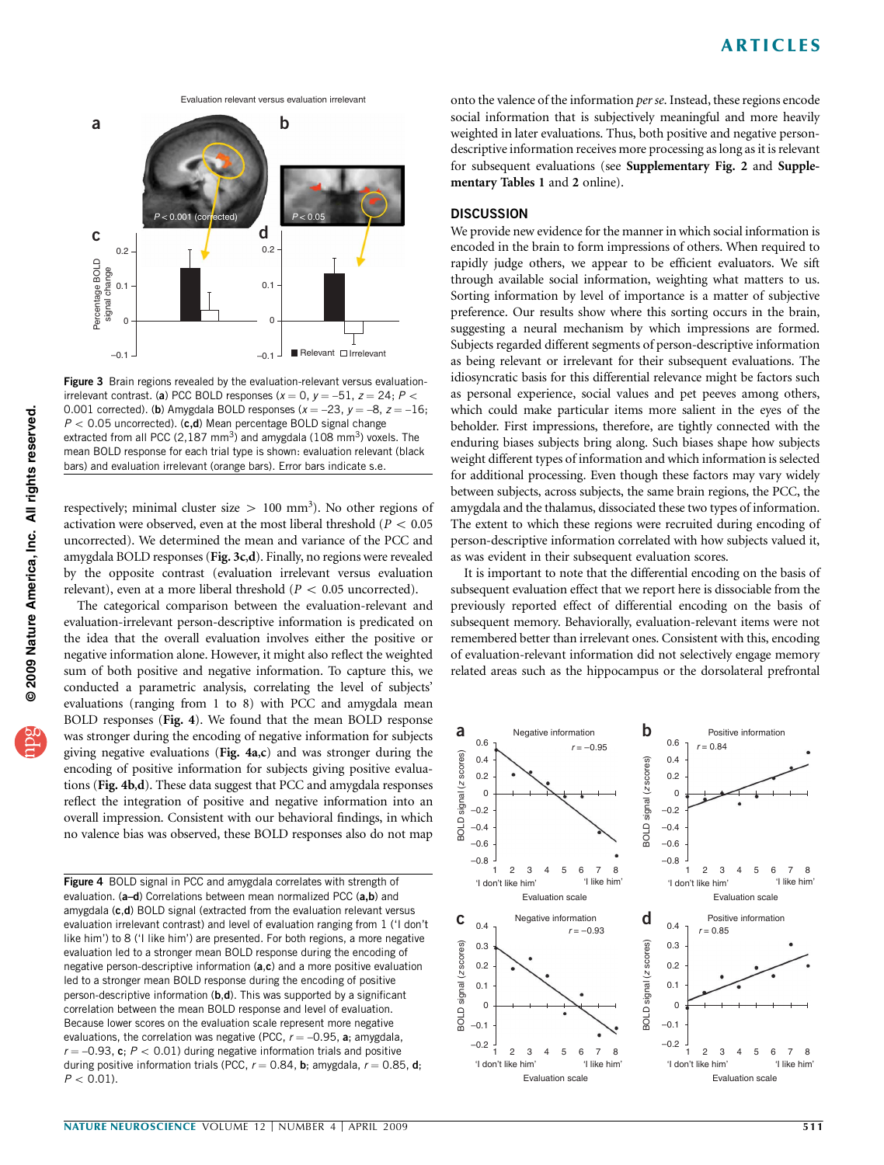Evaluation relevant versus evaluation irrelevant



Figure 3 Brain regions revealed by the evaluation-relevant versus evaluationirrelevant contrast. (a) PCC BOLD responses ( $x = 0$ ,  $y = -51$ ,  $z = 24$ ;  $P <$ 0.001 corrected). (b) Amygdala BOLD responses  $(x = -23, y = -8, z = -16;$  $P < 0.05$  uncorrected). (c,d) Mean percentage BOLD signal change extracted from all PCC (2,187 mm<sup>3</sup>) and amygdala (108 mm<sup>3</sup>) voxels. The mean BOLD response for each trial type is shown: evaluation relevant (black bars) and evaluation irrelevant (orange bars). Error bars indicate s.e.

respectively; minimal cluster size  $> 100$  mm<sup>3</sup>). No other regions of activation were observed, even at the most liberal threshold ( $P < 0.05$ ) uncorrected). We determined the mean and variance of the PCC and amygdala BOLD responses (Fig. 3c,d). Finally, no regions were revealed by the opposite contrast (evaluation irrelevant versus evaluation relevant), even at a more liberal threshold ( $P < 0.05$  uncorrected).

The categorical comparison between the evaluation-relevant and evaluation-irrelevant person-descriptive information is predicated on the idea that the overall evaluation involves either the positive or negative information alone. However, it might also reflect the weighted sum of both positive and negative information. To capture this, we conducted a parametric analysis, correlating the level of subjects' evaluations (ranging from 1 to 8) with PCC and amygdala mean BOLD responses (Fig. 4). We found that the mean BOLD response was stronger during the encoding of negative information for subjects giving negative evaluations (Fig.  $4a,c$ ) and was stronger during the encoding of positive information for subjects giving positive evaluations (Fig. 4b,d). These data suggest that PCC and amygdala responses reflect the integration of positive and negative information into an overall impression. Consistent with our behavioral findings, in which no valence bias was observed, these BOLD responses also do not map

Figure 4 BOLD signal in PCC and amygdala correlates with strength of evaluation. (a-d) Correlations between mean normalized PCC (a,b) and amygdala (c,d) BOLD signal (extracted from the evaluation relevant versus evaluation irrelevant contrast) and level of evaluation ranging from 1 ('I don't like him') to 8 ('I like him') are presented. For both regions, a more negative evaluation led to a stronger mean BOLD response during the encoding of negative person-descriptive information  $(a, c)$  and a more positive evaluation led to a stronger mean BOLD response during the encoding of positive person-descriptive information (b,d). This was supported by a significant correlation between the mean BOLD response and level of evaluation. Because lower scores on the evaluation scale represent more negative evaluations, the correlation was negative (PCC,  $r = -0.95$ , a; amygdala,  $r = -0.93$ , c;  $P < 0.01$ ) during negative information trials and positive during positive information trials (PCC,  $r = 0.84$ , b; amygdala,  $r = 0.85$ , d;  $P < 0.01$ ).

onto the valence of the information per se. Instead, these regions encode social information that is subjectively meaningful and more heavily weighted in later evaluations. Thus, both positive and negative persondescriptive information receives more processing as long as it is relevant for subsequent evaluations (see Supplementary Fig. 2 and Supplementary Tables 1 and 2 online).

#### **DISCUSSION**

We provide new evidence for the manner in which social information is encoded in the brain to form impressions of others. When required to rapidly judge others, we appear to be efficient evaluators. We sift through available social information, weighting what matters to us. Sorting information by level of importance is a matter of subjective preference. Our results show where this sorting occurs in the brain, suggesting a neural mechanism by which impressions are formed. Subjects regarded different segments of person-descriptive information as being relevant or irrelevant for their subsequent evaluations. The idiosyncratic basis for this differential relevance might be factors such as personal experience, social values and pet peeves among others, which could make particular items more salient in the eyes of the beholder. First impressions, therefore, are tightly connected with the enduring biases subjects bring along. Such biases shape how subjects weight different types of information and which information is selected for additional processing. Even though these factors may vary widely between subjects, across subjects, the same brain regions, the PCC, the amygdala and the thalamus, dissociated these two types of information. The extent to which these regions were recruited during encoding of person-descriptive information correlated with how subjects valued it, as was evident in their subsequent evaluation scores.

It is important to note that the differential encoding on the basis of subsequent evaluation effect that we report here is dissociable from the previously reported effect of differential encoding on the basis of subsequent memory. Behaviorally, evaluation-relevant items were not remembered better than irrelevant ones. Consistent with this, encoding of evaluation-relevant information did not selectively engage memory related areas such as the hippocampus or the dorsolateral prefrontal

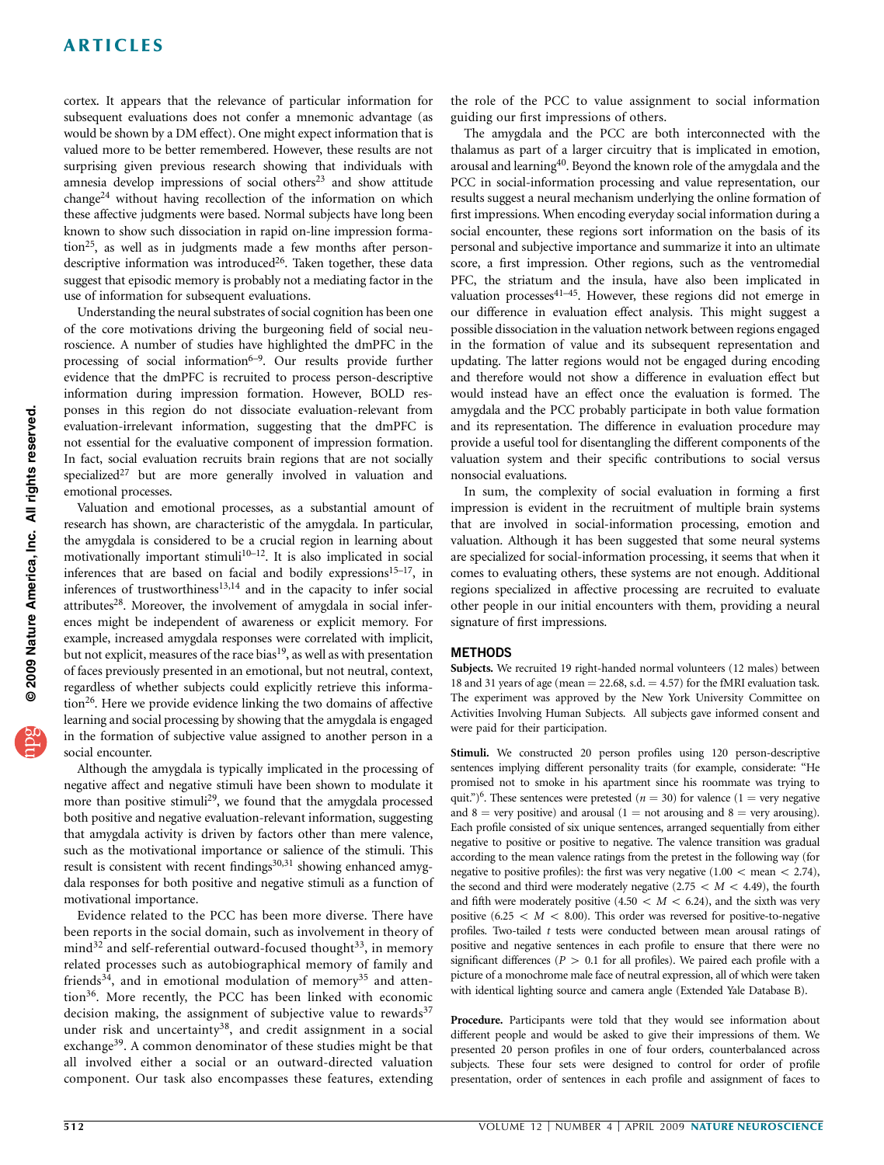### ARTICLES

cortex. It appears that the relevance of particular information for subsequent evaluations does not confer a mnemonic advantage (as would be shown by a DM effect). One might expect information that is valued more to be better remembered. However, these results are not surprising given previous research showing [th](#page-6-0)at individuals with amnes[ia](#page-6-0) develop impressions of social others<sup>23</sup> and show attitude change24 without having recollection of the information on which these affective judgments were based. Normal subjects have long been kno[wn](#page-6-0) to show such dissociation in rapid on-line impression formation<sup>25</sup>, [a](#page-6-0)s well as in judgments made a few months after persondescriptive information was introduced<sup>26</sup>. Taken together, these data suggest that episodic memory is probably not a mediating factor in the use of information for subsequent evaluations.

Understanding the neural substrates of social cognition has been one of the core motivations driving the burgeoning field of social neuroscience. A number of studies h[ave](#page-6-0) highlighted the dmPFC in the processing of social information $6-9$ . Our results provide further evidence that the dmPFC is recruited to process person-descriptive information during impression formation. However, BOLD responses in this region do not dissociate evaluation-relevant from evaluation-irrelevant information, suggesting that the dmPFC is not essential for the evaluative component of impression formation. In fact, s[ocia](#page-6-0)l evaluation recruits brain regions that are not socially specialized<sup>27</sup> but are more generally involved in valuation and emotional processes.

Valuation and emotional processes, as a substantial amount of research has shown, are characteristic of the amygdala. In particular, the amygdala is considered to b[e a c](#page-6-0)rucial region in learning about motivationally important stimuli $10-12$ . It is also implicated [in so](#page-6-0)cial inferences that are based o[n fac](#page-6-0)ial and bodily expressions<sup>15-17</sup>, in inference[s o](#page-6-0)f trustworthiness $13,14$  and in the capacity to infer social attributes<sup>28</sup>. Moreover, the involvement of amygdala in social inferences might be independent of awareness or explicit memory. For example, increased amygdala responses [we](#page-6-0)re correlated with implicit, but not explicit, measures of the race bias<sup>19</sup>, as well as with presentation of faces previously presented in an emotional, but not neutral, context, reg[ard](#page-6-0)less of whether subjects could explicitly retrieve this information<sup>26</sup>. Here we provide evidence linking the two domains of affective learning and social processing by showing that the amygdala is engaged in the formation of subjective value assigned to another person in a social encounter.

Although the amygdala is typically implicated in the processing of negative affect and negativ[e s](#page-6-0)timuli have been shown to modulate it more than positive stimuli<sup>29</sup>, we found that the amygdala processed both positive and negative evaluation-relevant information, suggesting that amygdala activity is driven by factors other than mere valence, such as the motivational importance [or sa](#page-6-0)lience of the stimuli. This result is consistent with recent findings $30,31$  showing enhanced amygdala responses for both positive and negative stimuli as a function of motivational importance.

Evidence related to the PCC has been more diverse. There have been [re](#page-6-0)ports in the social domain, such as involveme[nt](#page-6-0) in theory of  $mind<sup>32</sup>$  and self-referential outward-focused thought<sup>33</sup>, in memory related [p](#page-6-0)rocesses such as autobiographical memory [of](#page-6-0) family and frie[nds](#page-6-0)<sup>34</sup>, and in emotional modulation of memory<sup>35</sup> and attention<sup>36</sup>. More recently, the PCC has been linked with econo[mic](#page-6-0) decision [m](#page-6-0)aking, the assignment of subjective value to rewards $37$ under ri[sk](#page-6-0) and uncertainty<sup>38</sup>, and credit assignment in a social exchange<sup>39</sup>. A common denominator of these studies might be that all involved either a social or an outward-directed valuation component. Our task also encompasses these features, extending

the role of the PCC to value assignment to social information guiding our first impressions of others.

The amygdala and the PCC are both interconnected with the thalamus as part o[f a](#page-6-0) larger circuitry that is implicated in emotion, arousal and learning40. Beyond the known role of the amygdala and the PCC in social-information processing and value representation, our results suggest a neural mechanism underlying the online formation of first impressions. When encoding everyday social information during a social encounter, these regions sort information on the basis of its personal and subjective importance and summarize it into an ultimate score, a first impression. Other regions, such as the ventromedial PFC, the striatum [and](#page-6-0) the insula, have also been implicated in valuation processes<sup>41-45</sup>. However, these regions did not emerge in our difference in evaluation effect analysis. This might suggest a possible dissociation in the valuation network between regions engaged in the formation of value and its subsequent representation and updating. The latter regions would not be engaged during encoding and therefore would not show a difference in evaluation effect but would instead have an effect once the evaluation is formed. The amygdala and the PCC probably participate in both value formation and its representation. The difference in evaluation procedure may provide a useful tool for disentangling the different components of the valuation system and their specific contributions to social versus nonsocial evaluations.

In sum, the complexity of social evaluation in forming a first impression is evident in the recruitment of multiple brain systems that are involved in social-information processing, emotion and valuation. Although it has been suggested that some neural systems are specialized for social-information processing, it seems that when it comes to evaluating others, these systems are not enough. Additional regions specialized in affective processing are recruited to evaluate other people in our initial encounters with them, providing a neural signature of first impressions.

#### **METHODS**

Subjects. We recruited 19 right-handed normal volunteers (12 males) between 18 and 31 years of age (mean  $=$  22.68, s.d.  $=$  4.57) for the fMRI evaluation task. The experiment was approved by the New York University Committee on Activities Involving Human Subjects. All subjects gave informed consent and were paid for their participation.

Stimuli. We constructed 20 person profiles using 120 person-descriptive sentences implying different personality traits (for example, considerate: ''He prom[ise](#page-6-0)d not to smoke in his apartment since his roommate was trying to quit.")<sup>6</sup>. These sentences were pretested ( $n = 30$ ) for valence (1 = very negative and  $8 =$  very positive) and arousal (1 = not arousing and  $8 =$  very arousing). Each profile consisted of six unique sentences, arranged sequentially from either negative to positive or positive to negative. The valence transition was gradual according to the mean valence ratings from the pretest in the following way (for negative to positive profiles): the first was very negative  $(1.00 <$  mean  $< 2.74$ ), the second and third were moderately negative (2.75  $< M < 4.49$ ), the fourth and fifth were moderately positive  $(4.50 < M < 6.24)$ , and the sixth was very positive (6.25  $< M < 8.00$ ). This order was reversed for positive-to-negative profiles. Two-tailed t tests were conducted between mean arousal ratings of positive and negative sentences in each profile to ensure that there were no significant differences ( $P > 0.1$  for all profiles). We paired each profile with a picture of a monochrome male face of neutral expression, all of which were taken with identical lighting source and camera angle (Extended Yale Database B).

Procedure. Participants were told that they would see information about different people and would be asked to give their impressions of them. We presented 20 person profiles in one of four orders, counterbalanced across subjects. These four sets were designed to control for order of profile presentation, order of sentences in each profile and assignment of faces to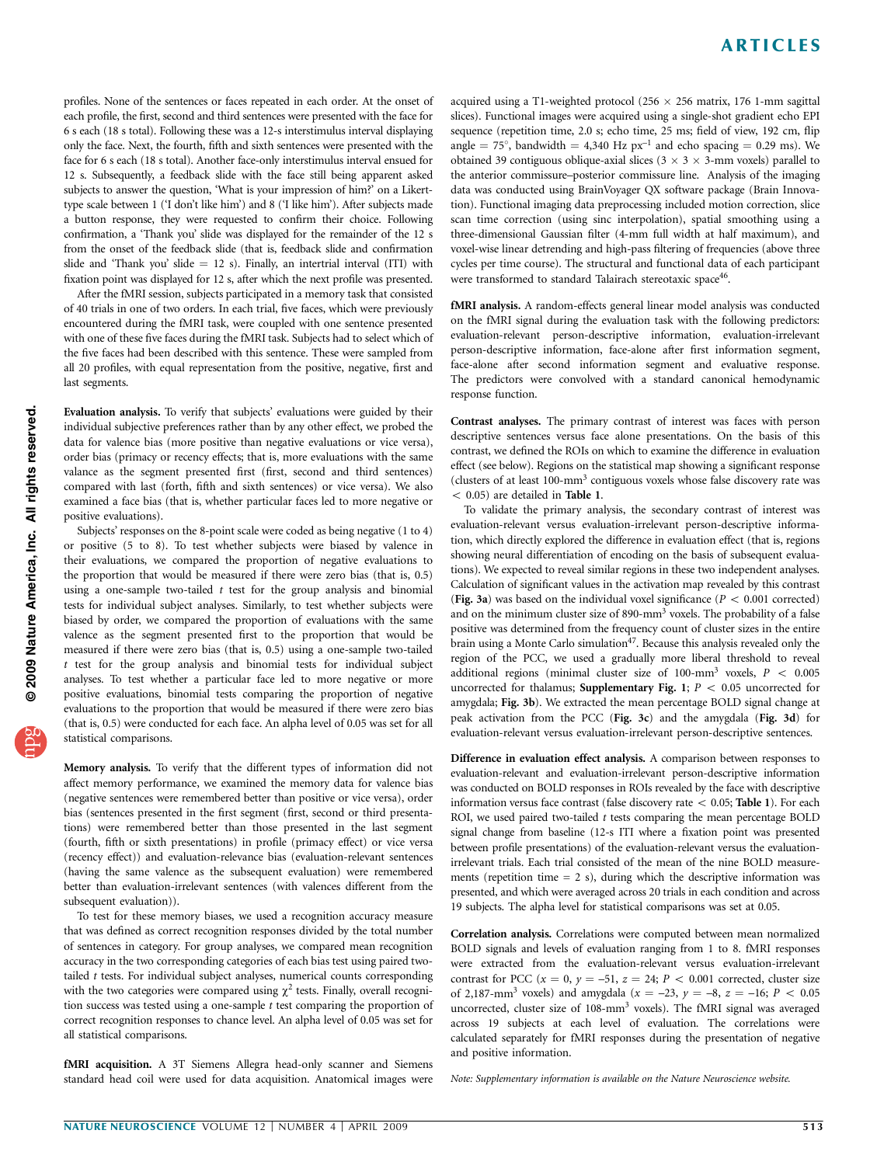profiles. None of the sentences or faces repeated in each order. At the onset of each profile, the first, second and third sentences were presented with the face for 6 s each (18 s total). Following these was a 12-s interstimulus interval displaying only the face. Next, the fourth, fifth and sixth sentences were presented with the face for 6 s each (18 s total). Another face-only interstimulus interval ensued for 12 s. Subsequently, a feedback slide with the face still being apparent asked subjects to answer the question, 'What is your impression of him?' on a Likerttype scale between 1 ('I don't like him') and 8 ('I like him'). After subjects made a button response, they were requested to confirm their choice. Following confirmation, a 'Thank you' slide was displayed for the remainder of the 12 s from the onset of the feedback slide (that is, feedback slide and confirmation slide and 'Thank you' slide  $= 12$  s). Finally, an intertrial interval (ITI) with fixation point was displayed for 12 s, after which the next profile was presented.

After the fMRI session, subjects participated in a memory task that consisted of 40 trials in one of two orders. In each trial, five faces, which were previously encountered during the fMRI task, were coupled with one sentence presented with one of these five faces during the fMRI task. Subjects had to select which of the five faces had been described with this sentence. These were sampled from all 20 profiles, with equal representation from the positive, negative, first and last segments.

Evaluation analysis. To verify that subjects' evaluations were guided by their individual subjective preferences rather than by any other effect, we probed the data for valence bias (more positive than negative evaluations or vice versa), order bias (primacy or recency effects; that is, more evaluations with the same valance as the segment presented first (first, second and third sentences) compared with last (forth, fifth and sixth sentences) or vice versa). We also examined a face bias (that is, whether particular faces led to more negative or positive evaluations).

Subjects' responses on the 8-point scale were coded as being negative (1 to 4) or positive (5 to 8). To test whether subjects were biased by valence in their evaluations, we compared the proportion of negative evaluations to the proportion that would be measured if there were zero bias (that is, 0.5) using a one-sample two-tailed  $t$  test for the group analysis and binomial tests for individual subject analyses. Similarly, to test whether subjects were biased by order, we compared the proportion of evaluations with the same valence as the segment presented first to the proportion that would be measured if there were zero bias (that is, 0.5) using a one-sample two-tailed t test for the group analysis and binomial tests for individual subject analyses. To test whether a particular face led to more negative or more positive evaluations, binomial tests comparing the proportion of negative evaluations to the proportion that would be measured if there were zero bias (that is, 0.5) were conducted for each face. An alpha level of 0.05 was set for all statistical comparisons.

Memory analysis. To verify that the different types of information did not affect memory performance, we examined the memory data for valence bias (negative sentences were remembered better than positive or vice versa), order bias (sentences presented in the first segment (first, second or third presentations) were remembered better than those presented in the last segment (fourth, fifth or sixth presentations) in profile (primacy effect) or vice versa (recency effect)) and evaluation-relevance bias (evaluation-relevant sentences (having the same valence as the subsequent evaluation) were remembered better than evaluation-irrelevant sentences (with valences different from the subsequent evaluation)).

To test for these memory biases, we used a recognition accuracy measure that was defined as correct recognition responses divided by the total number of sentences in category. For group analyses, we compared mean recognition accuracy in the two corresponding categories of each bias test using paired twotailed  $t$  tests. For individual subject analyses, numerical counts corresponding with the two categories were compared using  $\chi^2$  tests. Finally, overall recognition success was tested using a one-sample t test comparing the proportion of correct recognition responses to chance level. An alpha level of 0.05 was set for all statistical comparisons.

fMRI acquisition. A 3T Siemens Allegra head-only scanner and Siemens standard head coil were used for data acquisition. Anatomical images were

acquired using a T1-weighted protocol (256  $\times$  256 matrix, 176 1-mm sagittal slices). Functional images were acquired using a single-shot gradient echo EPI sequence (repetition time, 2.0 s; echo time, 25 ms; field of view, 192 cm, flip angle =  $75^{\circ}$ , bandwidth = 4,340 Hz px<sup>-1</sup> and echo spacing = 0.29 ms). We obtained 39 contiguous oblique-axial slices ( $3 \times 3 \times 3$ -mm voxels) parallel to the anterior commissure–posterior commissure line. Analysis of the imaging data was conducted using BrainVoyager QX software package (Brain Innovation). Functional imaging data preprocessing included motion correction, slice scan time correction (using sinc interpolation), spatial smoothing using a three-dimensional Gaussian filter (4-mm full width at half maximum), and voxel-wise linear detrending and high-pass filtering of frequencies (above three cycles per time course). The structural and functional d[ata](#page-6-0) of each participant were transformed to standard Talairach stereotaxic space<sup>46</sup>.

fMRI analysis. A random-effects general linear model analysis was conducted on the fMRI signal during the evaluation task with the following predictors: evaluation-relevant person-descriptive information, evaluation-irrelevant person-descriptive information, face-alone after first information segment, face-alone after second information segment and evaluative response. The predictors were convolved with a standard canonical hemodynamic response function.

Contrast analyses. The primary contrast of interest was faces with person descriptive sentences versus face alone presentations. On the basis of this contrast, we defined the ROIs on which to examine the difference in evaluation effect (see below). Regions on the statistical map showing a significant response (clusters of at least 100-mm3 contiguous voxels whose false discovery rate was  $<$  0.05) are detailed in Table 1.

To validate the primary analysis, the secondary contrast of interest was evaluation-relevant versus evaluation-irrelevant person-descriptive information, which directly explored the difference in evaluation effect (that is, regions showing neural differentiation of encoding on the basis of subsequent evaluations). We expected to reveal similar regions in these two independent analyses. Calculation of significant values in the activation map revealed by this contrast (Fig. 3a) was based on the individual voxel significance ( $P < 0.001$  corrected) and on the minimum cluster size of 890-mm<sup>3</sup> voxels. The probability of a false positive was determined from the fre[qu](#page-6-0)ency count of cluster sizes in the entire brain using a Monte Carlo simulation $47$ . Because this analysis revealed only the region of the PCC, we used a gradually more liberal threshold to reveal additional regions (minimal cluster size of 100-mm<sup>3</sup> voxels,  $P < 0.005$ uncorrected for thalamus; Supplementary Fig. 1;  $P < 0.05$  uncorrected for amygdala; Fig. 3b). We extracted the mean percentage BOLD signal change at peak activation from the PCC (Fig. 3c) and the amygdala (Fig. 3d) for evaluation-relevant versus evaluation-irrelevant person-descriptive sentences.

Difference in evaluation effect analysis. A comparison between responses to evaluation-relevant and evaluation-irrelevant person-descriptive information was conducted on BOLD responses in ROIs revealed by the face with descriptive information versus face contrast (false discovery rate  $< 0.05$ ; Table 1). For each ROI, we used paired two-tailed  $t$  tests comparing the mean percentage BOLD signal change from baseline (12-s ITI where a fixation point was presented between profile presentations) of the evaluation-relevant versus the evaluationirrelevant trials. Each trial consisted of the mean of the nine BOLD measurements (repetition time  $= 2$  s), during which the descriptive information was presented, and which were averaged across 20 trials in each condition and across 19 subjects. The alpha level for statistical comparisons was set at 0.05.

Correlation analysis. Correlations were computed between mean normalized BOLD signals and levels of evaluation ranging from 1 to 8. fMRI responses were extracted from the evaluation-relevant versus evaluation-irrelevant contrast for PCC ( $x = 0$ ,  $y = -51$ ,  $z = 24$ ;  $P < 0.001$  corrected, cluster size of 2,187-mm<sup>3</sup> voxels) and amygdala ( $x = -23$ ,  $y = -8$ ,  $z = -16$ ;  $P < 0.05$ uncorrected, cluster size of 108-mm3 voxels). The fMRI signal was averaged across 19 subjects at each level of evaluation. The correlations were calculated separately for fMRI responses during the presentation of negative and positive information.

Note: Supplementary information is available on the Nature Neuroscience website.